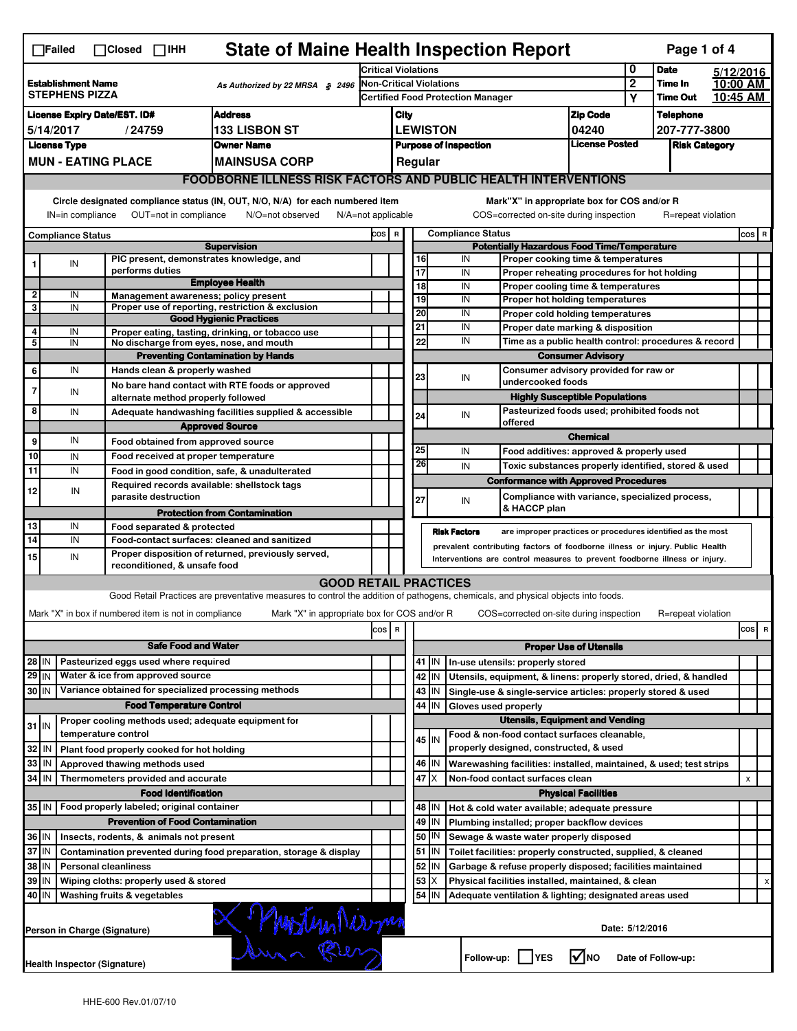|                                                                                                                                                          | <b>State of Maine Health Inspection Report</b><br>Page 1 of 4<br>$\Box$ Failed<br>$\Box$ Closed $\Box$ IHH                                                                                             |                                                                            |                                                                                                                                   |                            |                         |                                                                                                                         |            |                     |                          |                                                                                   |                               |                     |                                  |          |         |                         |
|----------------------------------------------------------------------------------------------------------------------------------------------------------|--------------------------------------------------------------------------------------------------------------------------------------------------------------------------------------------------------|----------------------------------------------------------------------------|-----------------------------------------------------------------------------------------------------------------------------------|----------------------------|-------------------------|-------------------------------------------------------------------------------------------------------------------------|------------|---------------------|--------------------------|-----------------------------------------------------------------------------------|-------------------------------|---------------------|----------------------------------|----------|---------|-------------------------|
|                                                                                                                                                          |                                                                                                                                                                                                        |                                                                            |                                                                                                                                   | <b>Critical Violations</b> |                         |                                                                                                                         |            |                     | 0                        | <b>Date</b>                                                                       | 5/12/2016                     |                     |                                  |          |         |                         |
|                                                                                                                                                          | <b>Establishment Name</b><br>As Authorized by 22 MRSA § 2496<br><b>STEPHENS PIZZA</b>                                                                                                                  |                                                                            |                                                                                                                                   |                            |                         | <b>Non-Critical Violations</b><br><b>Certified Food Protection Manager</b>                                              |            |                     |                          |                                                                                   |                               | $\overline{2}$<br>Υ | Time In                          | 10:00 AM |         |                         |
|                                                                                                                                                          |                                                                                                                                                                                                        |                                                                            |                                                                                                                                   |                            |                         |                                                                                                                         |            |                     |                          |                                                                                   |                               |                     | <b>Time Out</b>                  | 10:45 AM |         |                         |
| <b>Address</b><br><b>License Expiry Date/EST. ID#</b><br><b>133 LISBON ST</b><br>5/14/2017<br>/24759                                                     |                                                                                                                                                                                                        |                                                                            |                                                                                                                                   |                            | City<br><b>LEWISTON</b> |                                                                                                                         |            |                     |                          | <b>Zip Code</b>                                                                   |                               |                     | <b>Telephone</b><br>207-777-3800 |          |         |                         |
|                                                                                                                                                          | <b>License Type</b><br><b>Owner Name</b>                                                                                                                                                               |                                                                            |                                                                                                                                   |                            |                         | 04240<br><b>License Posted</b><br><b>Purpose of Inspection</b>                                                          |            |                     |                          |                                                                                   | <b>Risk Category</b>          |                     |                                  |          |         |                         |
|                                                                                                                                                          | <b>MUN - EATING PLACE</b><br><b>MAINSUSA CORP</b>                                                                                                                                                      |                                                                            |                                                                                                                                   |                            |                         | Regular                                                                                                                 |            |                     |                          |                                                                                   |                               |                     |                                  |          |         |                         |
|                                                                                                                                                          |                                                                                                                                                                                                        |                                                                            |                                                                                                                                   |                            |                         |                                                                                                                         |            |                     |                          |                                                                                   |                               |                     |                                  |          |         |                         |
|                                                                                                                                                          | <b>FOODBORNE ILLNESS RISK FACTORS AND PUBLIC HEALTH INTERVENTIONS</b><br>Circle designated compliance status (IN, OUT, N/O, N/A) for each numbered item<br>Mark"X" in appropriate box for COS and/or R |                                                                            |                                                                                                                                   |                            |                         |                                                                                                                         |            |                     |                          |                                                                                   |                               |                     |                                  |          |         |                         |
| OUT=not in compliance<br>COS=corrected on-site during inspection<br>IN=in compliance<br>N/O=not observed<br>$N/A = not$ applicable<br>R=repeat violation |                                                                                                                                                                                                        |                                                                            |                                                                                                                                   |                            |                         |                                                                                                                         |            |                     |                          |                                                                                   |                               |                     |                                  |          |         |                         |
|                                                                                                                                                          | <b>Compliance Status</b>                                                                                                                                                                               |                                                                            |                                                                                                                                   | COS R                      |                         |                                                                                                                         |            |                     | <b>Compliance Status</b> |                                                                                   |                               |                     |                                  |          | $cos$ R |                         |
|                                                                                                                                                          |                                                                                                                                                                                                        | PIC present, demonstrates knowledge, and                                   | <b>Supervision</b>                                                                                                                |                            |                         |                                                                                                                         | 16         |                     | IN                       | <b>Potentially Hazardous Food Time/Temperature</b>                                |                               |                     |                                  |          |         |                         |
|                                                                                                                                                          | IN                                                                                                                                                                                                     | performs duties                                                            |                                                                                                                                   |                            |                         |                                                                                                                         | 17         |                     | IN                       | Proper cooking time & temperatures<br>Proper reheating procedures for hot holding |                               |                     |                                  |          |         |                         |
|                                                                                                                                                          |                                                                                                                                                                                                        |                                                                            | <b>Employee Health</b>                                                                                                            |                            |                         |                                                                                                                         | 18         |                     | IN                       | Proper cooling time & temperatures                                                |                               |                     |                                  |          |         |                         |
| 2<br>3                                                                                                                                                   | IN<br>IN                                                                                                                                                                                               | Management awareness; policy present                                       | Proper use of reporting, restriction & exclusion                                                                                  |                            |                         |                                                                                                                         | 19         |                     | IN                       | Proper hot holding temperatures                                                   |                               |                     |                                  |          |         |                         |
|                                                                                                                                                          |                                                                                                                                                                                                        |                                                                            | <b>Good Hygienic Practices</b>                                                                                                    |                            |                         |                                                                                                                         | 20         |                     | IN                       | Proper cold holding temperatures                                                  |                               |                     |                                  |          |         |                         |
| 4                                                                                                                                                        | IN                                                                                                                                                                                                     |                                                                            | Proper eating, tasting, drinking, or tobacco use                                                                                  |                            |                         |                                                                                                                         | 21         |                     | IN<br>IN                 | Proper date marking & disposition                                                 |                               |                     |                                  |          |         |                         |
| 5                                                                                                                                                        | IN                                                                                                                                                                                                     | No discharge from eyes, nose, and mouth                                    | <b>Preventing Contamination by Hands</b>                                                                                          |                            |                         |                                                                                                                         | 22         |                     |                          | Time as a public health control: procedures & record                              | <b>Consumer Advisory</b>      |                     |                                  |          |         |                         |
| 6                                                                                                                                                        | IN                                                                                                                                                                                                     | Hands clean & properly washed                                              |                                                                                                                                   |                            |                         |                                                                                                                         |            |                     |                          | Consumer advisory provided for raw or                                             |                               |                     |                                  |          |         |                         |
|                                                                                                                                                          |                                                                                                                                                                                                        |                                                                            | No bare hand contact with RTE foods or approved                                                                                   |                            |                         |                                                                                                                         | 23         |                     | IN                       | undercooked foods                                                                 |                               |                     |                                  |          |         |                         |
| 7                                                                                                                                                        | IN                                                                                                                                                                                                     | alternate method properly followed                                         |                                                                                                                                   |                            |                         |                                                                                                                         |            |                     |                          | <b>Highly Susceptible Populations</b>                                             |                               |                     |                                  |          |         |                         |
| 8                                                                                                                                                        | IN                                                                                                                                                                                                     |                                                                            | Adequate handwashing facilities supplied & accessible                                                                             |                            |                         |                                                                                                                         | 24         |                     | IN                       | Pasteurized foods used; prohibited foods not<br>offered                           |                               |                     |                                  |          |         |                         |
|                                                                                                                                                          |                                                                                                                                                                                                        |                                                                            | <b>Approved Source</b>                                                                                                            |                            |                         |                                                                                                                         |            |                     |                          |                                                                                   | <b>Chemical</b>               |                     |                                  |          |         |                         |
| 9                                                                                                                                                        | IN                                                                                                                                                                                                     | Food obtained from approved source                                         |                                                                                                                                   |                            |                         |                                                                                                                         | 25         |                     | IN                       | Food additives: approved & properly used                                          |                               |                     |                                  |          |         |                         |
| 10                                                                                                                                                       | IN                                                                                                                                                                                                     | Food received at proper temperature                                        |                                                                                                                                   |                            |                         |                                                                                                                         | 26         |                     | IN                       | Toxic substances properly identified, stored & used                               |                               |                     |                                  |          |         |                         |
| 11                                                                                                                                                       | IN                                                                                                                                                                                                     | Required records available: shellstock tags                                | Food in good condition, safe, & unadulterated                                                                                     |                            |                         |                                                                                                                         |            |                     |                          | <b>Conformance with Approved Procedures</b>                                       |                               |                     |                                  |          |         |                         |
| 12                                                                                                                                                       | IN                                                                                                                                                                                                     | parasite destruction                                                       |                                                                                                                                   |                            |                         |                                                                                                                         | 27         |                     | IN                       | Compliance with variance, specialized process,                                    |                               |                     |                                  |          |         |                         |
|                                                                                                                                                          |                                                                                                                                                                                                        |                                                                            | <b>Protection from Contamination</b>                                                                                              |                            |                         |                                                                                                                         |            |                     |                          | & HACCP plan                                                                      |                               |                     |                                  |          |         |                         |
| 13                                                                                                                                                       | IN                                                                                                                                                                                                     | Food separated & protected                                                 |                                                                                                                                   |                            |                         |                                                                                                                         |            | <b>Risk Factors</b> |                          | are improper practices or procedures identified as the most                       |                               |                     |                                  |          |         |                         |
| $\overline{14}$                                                                                                                                          | IN                                                                                                                                                                                                     |                                                                            | Food-contact surfaces: cleaned and sanitized                                                                                      |                            |                         |                                                                                                                         |            |                     |                          | prevalent contributing factors of foodborne illness or injury. Public Health      |                               |                     |                                  |          |         |                         |
| 15                                                                                                                                                       | IN                                                                                                                                                                                                     | reconditioned, & unsafe food                                               | Proper disposition of returned, previously served,                                                                                |                            |                         | Interventions are control measures to prevent foodborne illness or injury.                                              |            |                     |                          |                                                                                   |                               |                     |                                  |          |         |                         |
|                                                                                                                                                          |                                                                                                                                                                                                        |                                                                            | <b>GOOD RETAIL PRACTICES</b>                                                                                                      |                            |                         |                                                                                                                         |            |                     |                          |                                                                                   |                               |                     |                                  |          |         |                         |
|                                                                                                                                                          |                                                                                                                                                                                                        |                                                                            | Good Retail Practices are preventative measures to control the addition of pathogens, chemicals, and physical objects into foods. |                            |                         |                                                                                                                         |            |                     |                          |                                                                                   |                               |                     |                                  |          |         |                         |
|                                                                                                                                                          |                                                                                                                                                                                                        | Mark "X" in box if numbered item is not in compliance                      | Mark "X" in appropriate box for COS and/or R                                                                                      |                            |                         |                                                                                                                         |            |                     |                          | COS=corrected on-site during inspection                                           |                               |                     | R=repeat violation               |          |         |                         |
|                                                                                                                                                          |                                                                                                                                                                                                        |                                                                            |                                                                                                                                   | cos                        | R                       |                                                                                                                         |            |                     |                          |                                                                                   |                               |                     |                                  |          | cosl    | $\overline{\mathbf{R}}$ |
|                                                                                                                                                          |                                                                                                                                                                                                        | <b>Safe Food and Water</b>                                                 |                                                                                                                                   |                            |                         |                                                                                                                         |            |                     |                          |                                                                                   | <b>Proper Use of Utensils</b> |                     |                                  |          |         |                         |
| Pasteurized eggs used where required<br>28 IN<br>$41$   IN<br>In-use utensils: properly stored                                                           |                                                                                                                                                                                                        |                                                                            |                                                                                                                                   |                            |                         |                                                                                                                         |            |                     |                          |                                                                                   |                               |                     |                                  |          |         |                         |
| 29 IN                                                                                                                                                    |                                                                                                                                                                                                        | Water & ice from approved source                                           |                                                                                                                                   |                            |                         |                                                                                                                         | 42<br>IN   |                     |                          | Utensils, equipment, & linens: properly stored, dried, & handled                  |                               |                     |                                  |          |         |                         |
| 30 IN                                                                                                                                                    |                                                                                                                                                                                                        | Variance obtained for specialized processing methods                       |                                                                                                                                   |                            |                         |                                                                                                                         | 43<br>IN   |                     |                          | Single-use & single-service articles: properly stored & used                      |                               |                     |                                  |          |         |                         |
|                                                                                                                                                          |                                                                                                                                                                                                        | <b>Food Temperature Control</b>                                            |                                                                                                                                   |                            |                         | 44<br>IN<br>Gloves used properly<br><b>Utensils, Equipment and Vending</b>                                              |            |                     |                          |                                                                                   |                               |                     |                                  |          |         |                         |
| $31$ IN                                                                                                                                                  |                                                                                                                                                                                                        | Proper cooling methods used; adequate equipment for<br>temperature control |                                                                                                                                   |                            |                         |                                                                                                                         |            |                     |                          | Food & non-food contact surfaces cleanable,                                       |                               |                     |                                  |          |         |                         |
| 32                                                                                                                                                       | IN                                                                                                                                                                                                     | Plant food properly cooked for hot holding                                 |                                                                                                                                   |                            |                         |                                                                                                                         | 45 I IN    |                     |                          | properly designed, constructed, & used                                            |                               |                     |                                  |          |         |                         |
| 33                                                                                                                                                       | IN                                                                                                                                                                                                     | Approved thawing methods used                                              |                                                                                                                                   |                            |                         |                                                                                                                         | 46  <br>IN |                     |                          | Warewashing facilities: installed, maintained, & used; test strips                |                               |                     |                                  |          |         |                         |
| 34                                                                                                                                                       | l IN                                                                                                                                                                                                   | Thermometers provided and accurate                                         |                                                                                                                                   |                            |                         |                                                                                                                         | 47 X       |                     |                          | Non-food contact surfaces clean                                                   |                               |                     |                                  |          | x       |                         |
|                                                                                                                                                          | <b>Food Identification</b><br><b>Physical Facilities</b>                                                                                                                                               |                                                                            |                                                                                                                                   |                            |                         |                                                                                                                         |            |                     |                          |                                                                                   |                               |                     |                                  |          |         |                         |
| 35   IN                                                                                                                                                  |                                                                                                                                                                                                        | Food properly labeled; original container                                  |                                                                                                                                   |                            |                         |                                                                                                                         | 48   IN    |                     |                          | Hot & cold water available; adequate pressure                                     |                               |                     |                                  |          |         |                         |
|                                                                                                                                                          |                                                                                                                                                                                                        | <b>Prevention of Food Contamination</b>                                    |                                                                                                                                   |                            |                         |                                                                                                                         | 49<br>IN   |                     |                          | Plumbing installed; proper backflow devices                                       |                               |                     |                                  |          |         |                         |
| 50<br>IN<br>36 IN<br>Insects, rodents, & animals not present<br>Sewage & waste water properly disposed                                                   |                                                                                                                                                                                                        |                                                                            |                                                                                                                                   |                            |                         |                                                                                                                         |            |                     |                          |                                                                                   |                               |                     |                                  |          |         |                         |
| 37 IN<br>Contamination prevented during food preparation, storage & display                                                                              |                                                                                                                                                                                                        |                                                                            |                                                                                                                                   |                            |                         | 51<br>ΙN<br>Toilet facilities: properly constructed, supplied, & cleaned                                                |            |                     |                          |                                                                                   |                               |                     |                                  |          |         |                         |
| 38<br>ΙN<br><b>Personal cleanliness</b>                                                                                                                  |                                                                                                                                                                                                        |                                                                            |                                                                                                                                   |                            |                         | 52<br>IN<br>Garbage & refuse properly disposed; facilities maintained                                                   |            |                     |                          |                                                                                   |                               |                     |                                  |          |         |                         |
| 53<br>39 IN<br>X<br>Wiping cloths: properly used & stored<br>54<br>40 IN<br>Washing fruits & vegetables                                                  |                                                                                                                                                                                                        |                                                                            |                                                                                                                                   |                            |                         | Physical facilities installed, maintained, & clean<br>X<br>ΙN<br>Adequate ventilation & lighting; designated areas used |            |                     |                          |                                                                                   |                               |                     |                                  |          |         |                         |
|                                                                                                                                                          |                                                                                                                                                                                                        |                                                                            |                                                                                                                                   |                            |                         |                                                                                                                         |            |                     |                          |                                                                                   |                               |                     |                                  |          |         |                         |
|                                                                                                                                                          |                                                                                                                                                                                                        | Person in Charge (Signature)                                               | duna Been                                                                                                                         |                            |                         |                                                                                                                         |            |                     |                          |                                                                                   |                               | Date: 5/12/2016     |                                  |          |         |                         |
|                                                                                                                                                          |                                                                                                                                                                                                        | <b>Health Inspector (Signature)</b>                                        |                                                                                                                                   |                            |                         |                                                                                                                         |            |                     |                          | Follow-up:     YES                                                                | l√lno                         |                     | Date of Follow-up:               |          |         |                         |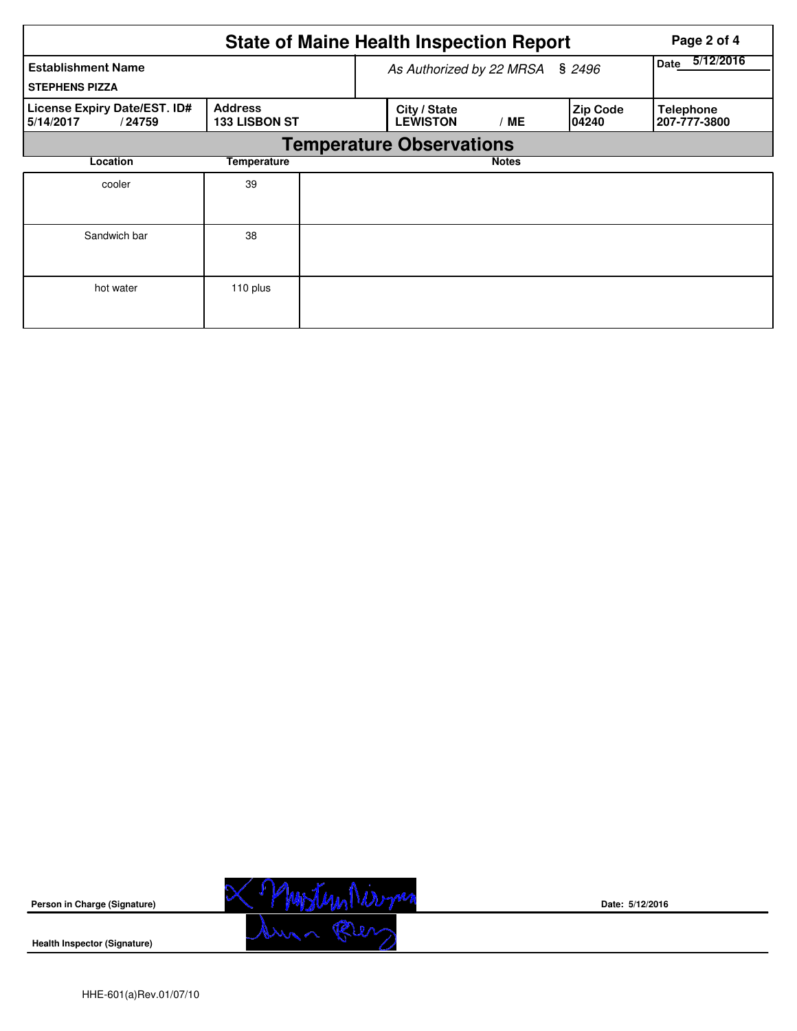|                                                     |                                        | <b>State of Maine Health Inspection Report</b> | Page 2 of 4       |                          |                                  |
|-----------------------------------------------------|----------------------------------------|------------------------------------------------|-------------------|--------------------------|----------------------------------|
| <b>Establishment Name</b><br><b>STEPHENS PIZZA</b>  |                                        | As Authorized by 22 MRSA                       | 5/12/2016<br>Date |                          |                                  |
| License Expiry Date/EST. ID#<br>5/14/2017<br>/24759 | <b>Address</b><br><b>133 LISBON ST</b> | City / State<br><b>LEWISTON</b>                | ' ME              | <b>Zip Code</b><br>04240 | <b>Telephone</b><br>207-777-3800 |
|                                                     |                                        | <b>Temperature Observations</b>                |                   |                          |                                  |
| Location                                            |                                        | <b>Notes</b>                                   |                   |                          |                                  |
| cooler                                              | 39                                     |                                                |                   |                          |                                  |
| Sandwich bar                                        | 38                                     |                                                |                   |                          |                                  |
| hot water                                           | 110 plus                               |                                                |                   |                          |                                  |



**Date: 5/12/2016**

**Health Inspector (Signature)**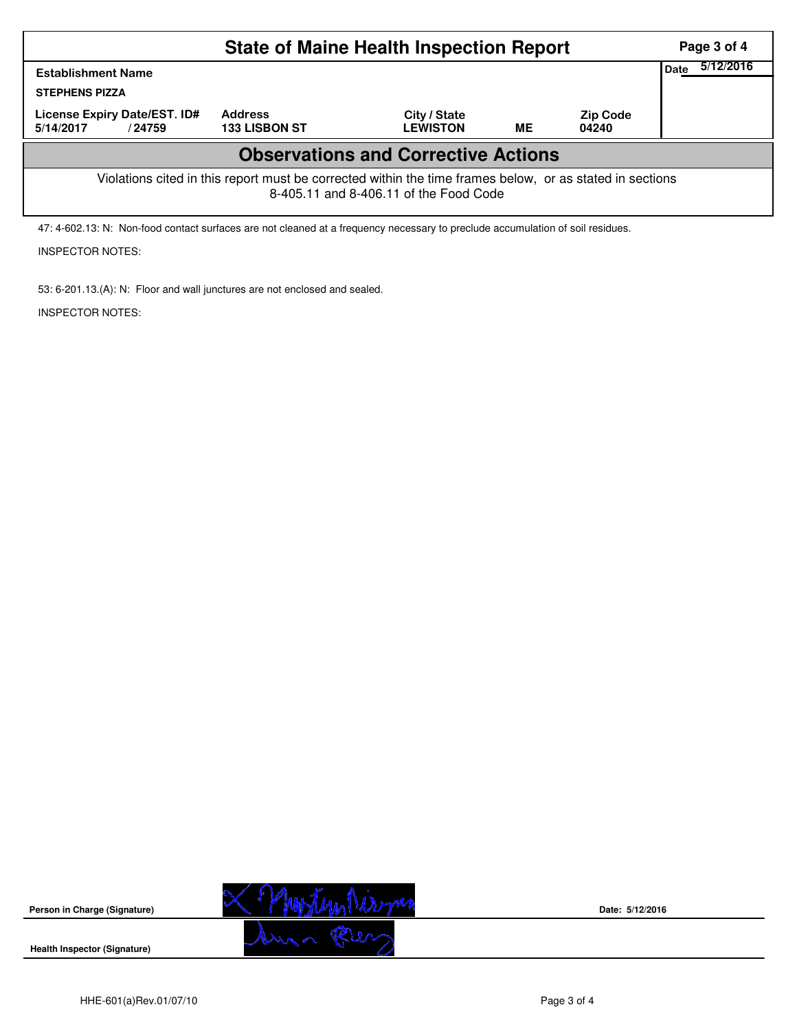|                                                                                                                                                    | Page 3 of 4                            |                                 |    |                          |  |  |  |  |  |  |
|----------------------------------------------------------------------------------------------------------------------------------------------------|----------------------------------------|---------------------------------|----|--------------------------|--|--|--|--|--|--|
| <b>Establishment Name</b><br><b>STEPHENS PIZZA</b>                                                                                                 |                                        |                                 |    |                          |  |  |  |  |  |  |
| License Expiry Date/EST. ID#<br>5/14/2017<br>/24759                                                                                                | <b>Address</b><br><b>133 LISBON ST</b> | City / State<br><b>LEWISTON</b> | ME | <b>Zip Code</b><br>04240 |  |  |  |  |  |  |
| <b>Observations and Corrective Actions</b>                                                                                                         |                                        |                                 |    |                          |  |  |  |  |  |  |
| Violations cited in this report must be corrected within the time frames below, or as stated in sections<br>8-405.11 and 8-406.11 of the Food Code |                                        |                                 |    |                          |  |  |  |  |  |  |

47: 4-602.13: N: Non-food contact surfaces are not cleaned at a frequency necessary to preclude accumulation of soil residues.

# INSPECTOR NOTES:

53: 6-201.13.(A): N: Floor and wall junctures are not enclosed and sealed.

INSPECTOR NOTES:



**Date: 5/12/2016**

**Health Inspector (Signature)** 

**Person in Charge (Signature)**